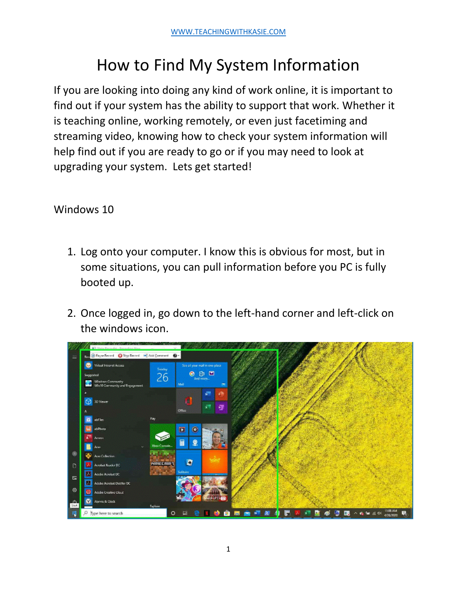## How to Find My System Information

If you are looking into doing any kind of work online, it is important to find out if your system has the ability to support that work. Whether it is teaching online, working remotely, or even just facetiming and streaming video, knowing how to check your system information will help find out if you are ready to go or if you may need to look at upgrading your system. Lets get started!

Windows 10

- 1. Log onto your computer. I know this is obvious for most, but in some situations, you can pull information before you PC is fully booted up.
- 2. Once logged in, go down to the left-hand corner and left-click on the windows icon.

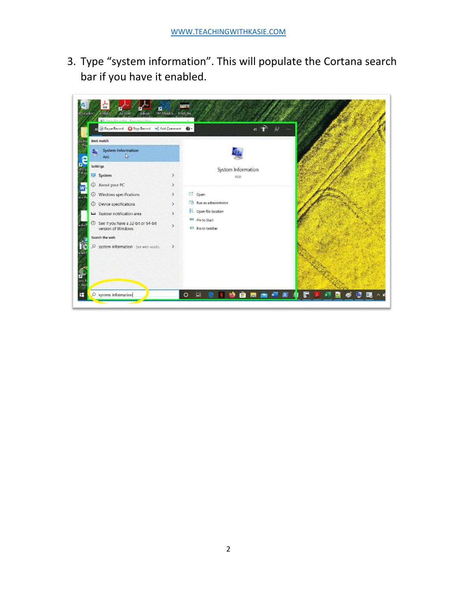3. Type "system information". This will populate the Cortana search bar if you have it enabled.

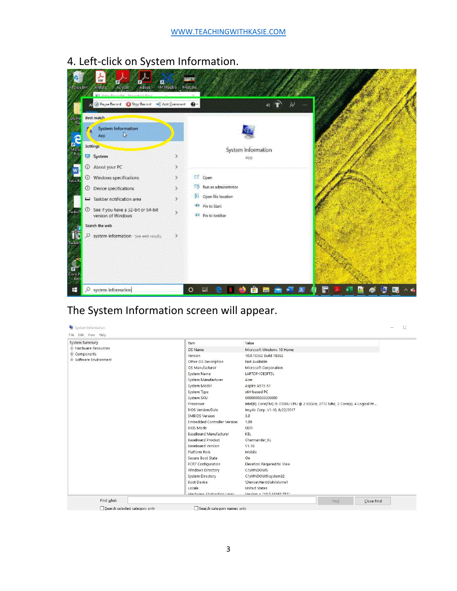4. Left-click on System Information.



## The System Information screen will appear.

| System Summary         | Item                        | Value                                                                       |  |
|------------------------|-----------------------------|-----------------------------------------------------------------------------|--|
| E-Hardware Resources   | OS Name                     | Microsoft Windows 10 Home                                                   |  |
| E- Components          | Version                     | 10.0.18362 Build 18362                                                      |  |
| E-Software Environment | Other OS Description        | Not Available                                                               |  |
|                        | OS Manufacturer             | Microsoft Corporation                                                       |  |
|                        | System Name                 | LAPTOP-IOE5FT5L                                                             |  |
|                        | System Manufacturer         | Acer                                                                        |  |
|                        | System Model                | Aspire A515-51                                                              |  |
|                        | System Type                 | x64-based PC                                                                |  |
|                        | System SKU                  | 000000000000000                                                             |  |
|                        | Processor                   | Intel(R) Core(TM) i5-7200U CPU @ 2.50GHz, 2712 Mhz, 2 Core(s), 4 Logical Pr |  |
|                        | <b>BIOS Version/Date</b>    | Insyde Corp. V1.10, 8/22/2017                                               |  |
|                        | SMBIOS Version              | 3.0                                                                         |  |
|                        | Embedded Controller Version | 1.09                                                                        |  |
|                        | <b>BIOS Mode</b>            | UEFI                                                                        |  |
|                        | BaseBoard Manufacturer      | KBL                                                                         |  |
|                        | BaseBoard Product           | Charmander KL                                                               |  |
|                        | BaseBoard Version           | V1.10                                                                       |  |
|                        | Platform Role               | Mobile                                                                      |  |
|                        | Secure Boot State           | On                                                                          |  |
|                        | PCR7 Configuration          | Elevation Required to View                                                  |  |
|                        | Windows Directory           | C:\WINDOWS                                                                  |  |
|                        | System Directory            | C:\WINDOWS\system32                                                         |  |
|                        | <b>Boot Device</b>          | \Device\HarddiskVolume1                                                     |  |
|                        | Locale                      | <b>United States</b>                                                        |  |
|                        | Hardware Abstraction Laver  | Varcion - "10.0 18362 752"                                                  |  |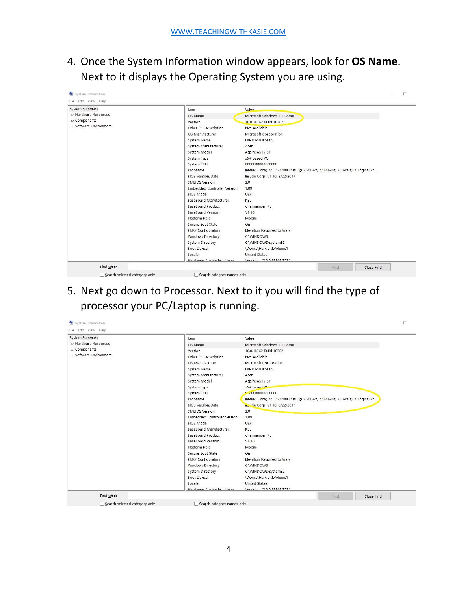4. Once the System Information window appears, look for **OS Name**. Next to it displays the Operating System you are using.

| System Summary         | Item                        | Value                                                                       |
|------------------------|-----------------------------|-----------------------------------------------------------------------------|
| E-Hardware Resources   | OS Name                     | Microsoft Windows 10 Home                                                   |
| Components             | Version                     | 10.0.18362 Build 18362                                                      |
| E-Software Environment | Other OS Description        | Not Available                                                               |
|                        | OS Manufacturer             | Microsoft Corporation                                                       |
|                        | System Name                 | LAPTOP-IOE5FT5L                                                             |
|                        | System Manufacturer         | Acer                                                                        |
|                        | System Model                | Aspire A515-51                                                              |
|                        | System Type                 | x64-based PC                                                                |
|                        | System SKU                  | 000000000000000                                                             |
|                        | Processor                   | Intel(R) Core(TM) i5-7200U CPU @ 2.50GHz, 2712 Mhz, 2 Core(s), 4 Logical Pr |
|                        | <b>BIOS Version/Date</b>    | Insyde Corp. V1.10, 8/22/2017                                               |
|                        | SMBIOS Version              | 3.0                                                                         |
|                        | Embedded Controller Version | 1.09                                                                        |
|                        | <b>BIOS Mode</b>            | UEFI                                                                        |
|                        | BaseBoard Manufacturer      | KBL                                                                         |
|                        | BaseBoard Product           | Charmander KL                                                               |
|                        | BaseBoard Version           | V1.10                                                                       |
|                        | Platform Role               | Mobile                                                                      |
|                        | Secure Boot State           | On                                                                          |
|                        | PCR7 Configuration          | Elevation Required to View                                                  |
|                        | Windows Directory           | C:\WINDOWS                                                                  |
|                        | System Directory            | C:\WINDOWS\system32                                                         |
|                        | Boot Device                 | \Device\HarddiskVolume1                                                     |
|                        | Locale                      | <b>United States</b>                                                        |
|                        | Hardware Abstraction Laver  | Varcion - "10.0 18362 752"                                                  |

5. Next go down to Processor. Next to it you will find the type of processor your PC/Laptop is running.

| System Summary         | Item                        | Value                                                                       |  |
|------------------------|-----------------------------|-----------------------------------------------------------------------------|--|
| E Hardware Resources   | OS Name                     | Microsoft Windows 10 Home                                                   |  |
| E- Components          | Version                     | 10.0.18362 Build 18362                                                      |  |
| E-Software Environment | Other OS Description        | Not Available                                                               |  |
|                        | OS Manufacturer             | Microsoft Corporation                                                       |  |
|                        | System Name                 | LAPTOP-IOE5FT5L                                                             |  |
|                        | System Manufacturer         | Acer                                                                        |  |
|                        | System Model                | Aspire A515-51                                                              |  |
|                        | System Type                 | x64-based po                                                                |  |
|                        | System SKU                  | Co0000000000000                                                             |  |
|                        | Processor                   | Intel(R) Core(TM) i5-7200U CPU @ 2.50GHz, 2712 Mhz, 2 Core(s), 4 Logical Pr |  |
|                        | <b>BIOS Version/Date</b>    | mayde Corp. V1.10, 8/22/2017                                                |  |
|                        | SMBIOS Version              | 3,0                                                                         |  |
|                        | Embedded Controller Version | 1.09                                                                        |  |
|                        | <b>BIOS Mode</b>            | UEFI                                                                        |  |
|                        | BaseBoard Manufacturer      | KBL                                                                         |  |
|                        | BaseBoard Product           | Charmander KL                                                               |  |
|                        | <b>BaseBoard Version</b>    | V1.10                                                                       |  |
|                        | Platform Role               | Mobile                                                                      |  |
|                        | Secure Boot State           | On                                                                          |  |
|                        | PCR7 Configuration          | Elevation Required to View                                                  |  |
|                        | Windows Directory           | C:\WINDOWS                                                                  |  |
|                        | System Directory            | C:\WINDOWS\system32                                                         |  |
|                        | <b>Boot Device</b>          | \Device\HarddiskVolume1                                                     |  |
|                        | Locale                      | <b>United States</b>                                                        |  |
|                        | Hardware Abstraction Laver  | Varcion - "10.0 18362 752"                                                  |  |